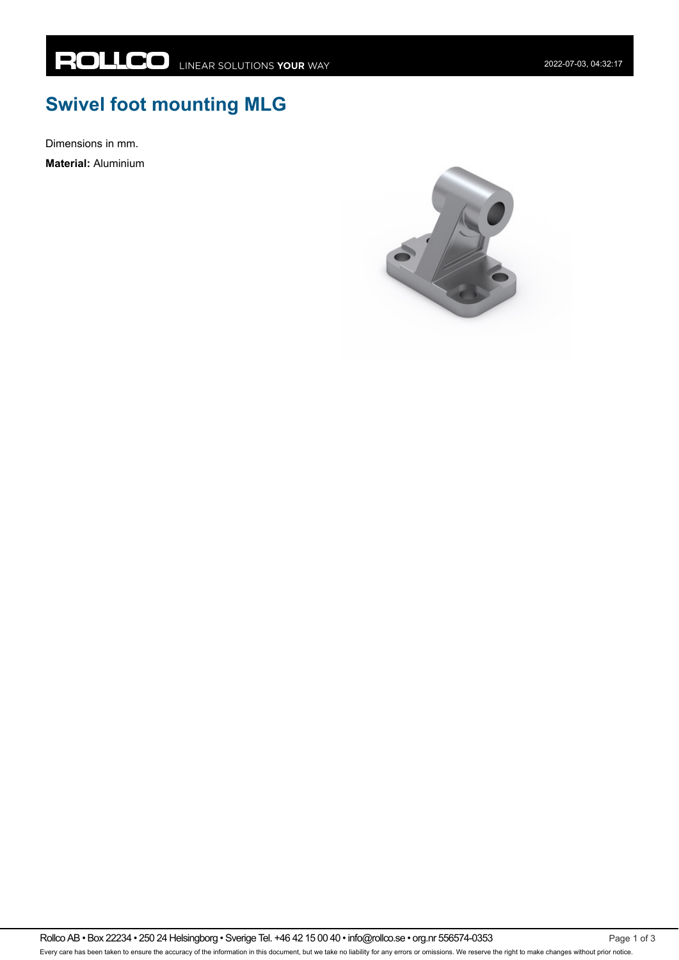## **Swivel foot mounting MLG**

Dimensions in mm.

**Material:** Aluminium

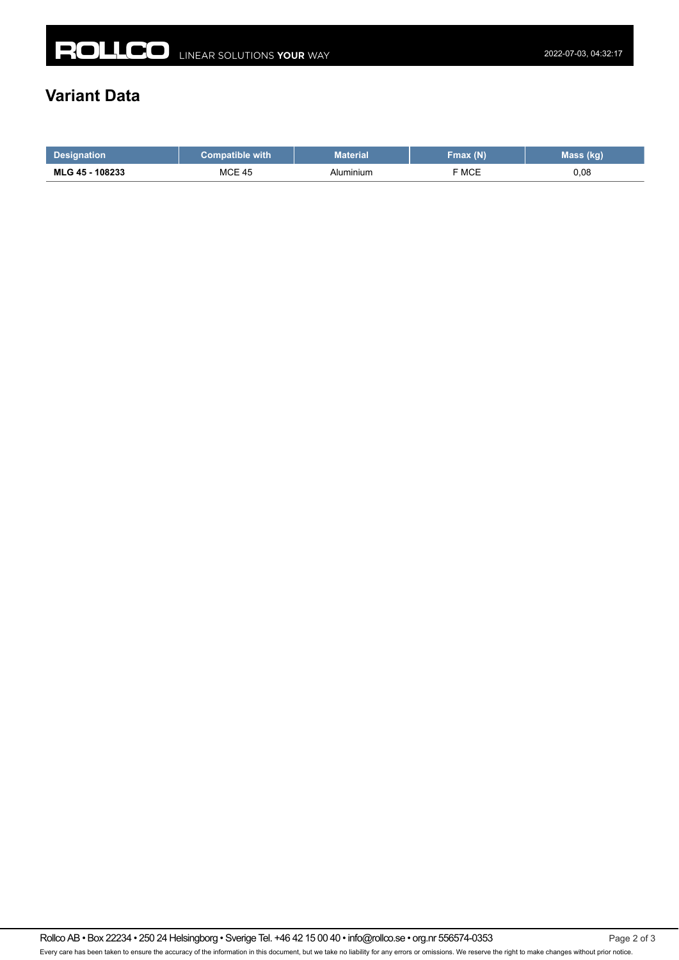## **Variant Data**

|                         | with                   | Material | (N)             | mass<br>чич. |
|-------------------------|------------------------|----------|-----------------|--------------|
| 108233<br><b>MLG 45</b> | <b>MCE</b><br>45<br>__ | uminium  | F MCE<br>______ | 0,08         |

Rollco AB • Box 22234 • 250 24 Helsingborg • Sverige Tel. +46 42 15 00 40 • info@rollco.se • org.nr 556574-0353 Page 2 of 3 Every care has been taken to ensure the accuracy of the information in this document, but we take no liability for any errors or omissions. We reserve the right to make changes without prior notice.